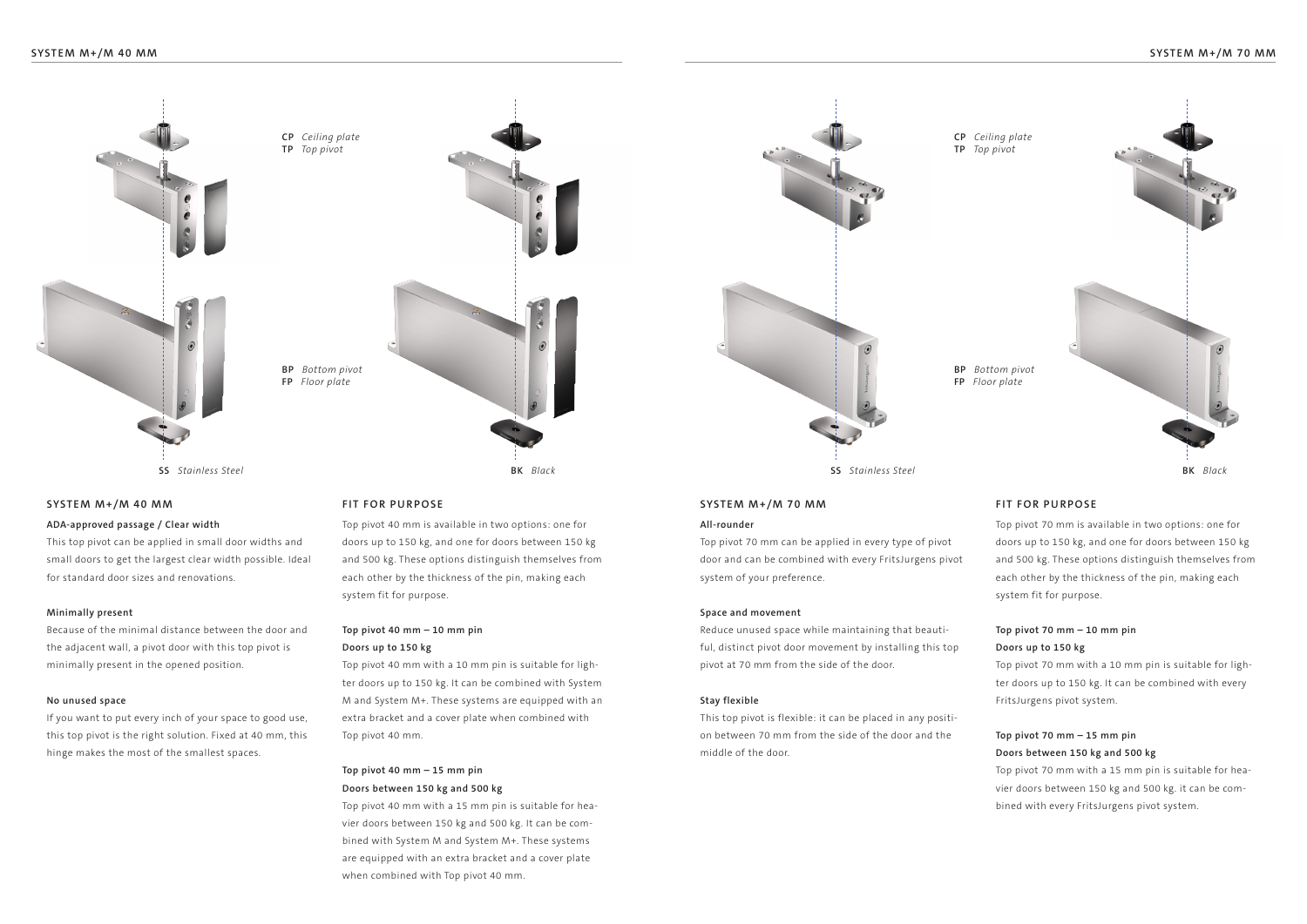

## **SYSTEM M+/M 40 MM SYSTEM M+/M 70 MM FIT FOR PURPOSE FIT FOR PURPOSE**

## **All-rounder**

Top pivot 70 mm can be applied in every type of pivot door and can be combined with every FritsJurgens pivot system of your preference.

### **Space and movement**

Reduce unused space while maintaining that beautiful, distinct pivot door movement by installing this top pivot at 70 mm from the side of the door.

### **Stay flexible**

This top pivot is flexible: it can be placed in any position between 70 mm from the side of the door and the middle of the door.

Top pivot 70 mm is available in two options: one for doors up to 150 kg, and one for doors between 150 kg and 500 kg. These options distinguish themselves from each other by the thickness of the pin, making each system fit for purpose.

# **Top pivot 70 mm – 10 mm pin Doors up to 150 kg**

Top pivot 70 mm with a 10 mm pin is suitable for lighter doors up to 150 kg. It can be combined with every FritsJurgens pivot system.

# **Top pivot 70 mm – 15 mm pin Doors between 150 kg and 500 kg**

Top pivot 70 mm with a 15 mm pin is suitable for heavier doors between 150 kg and 500 kg. it can be combined with every FritsJurgens pivot system.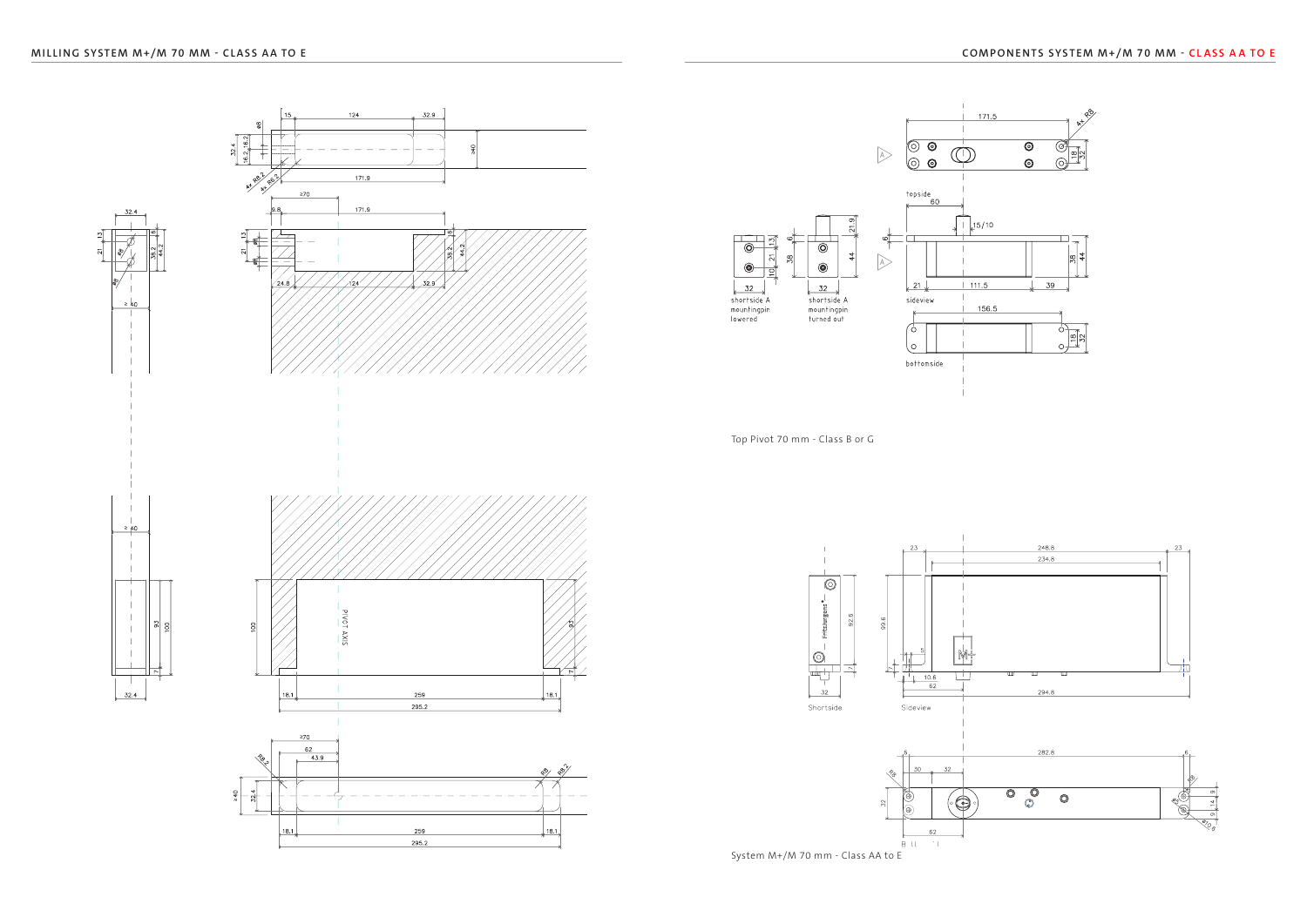

Top Pivot 70 mm - Class B or G

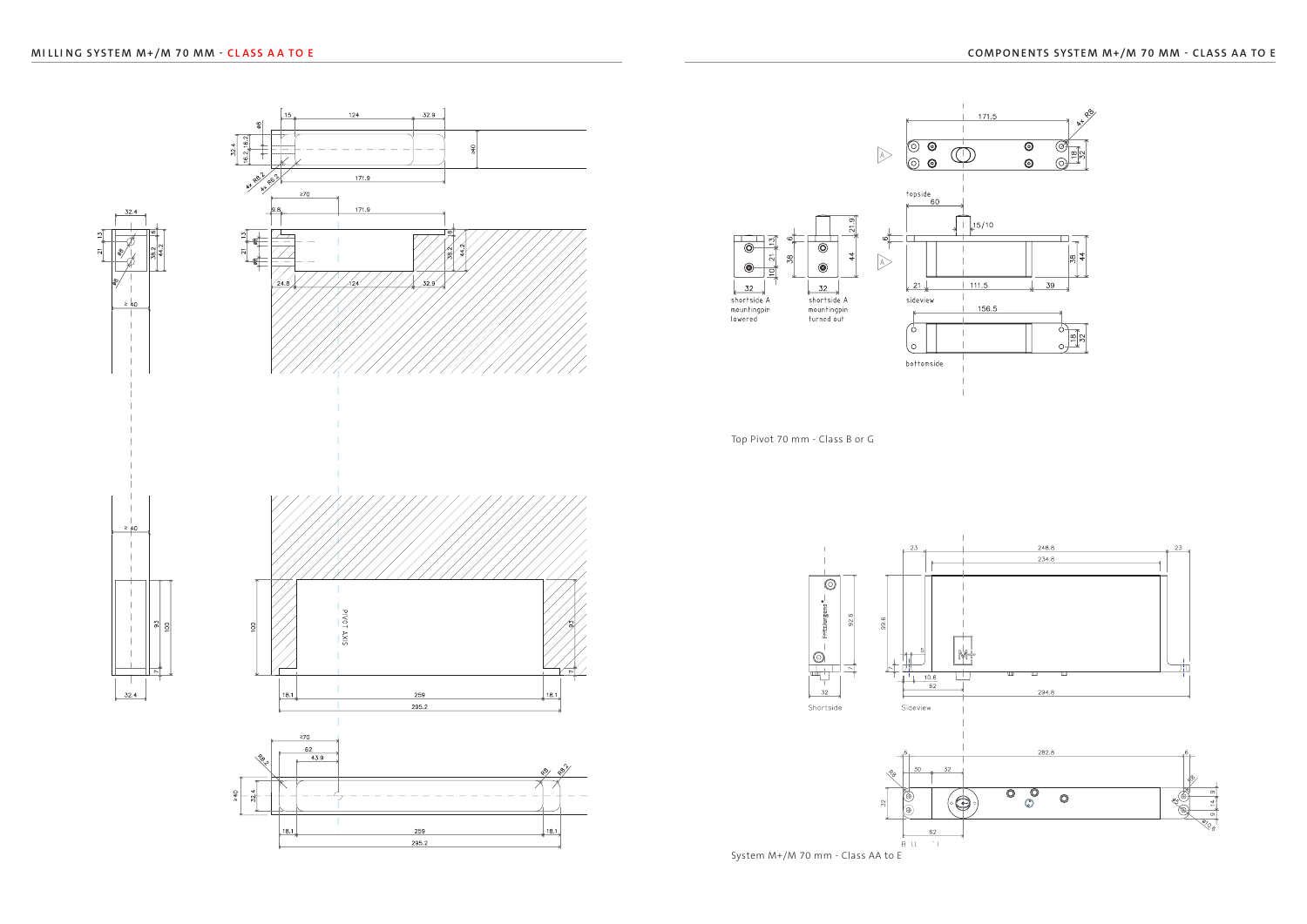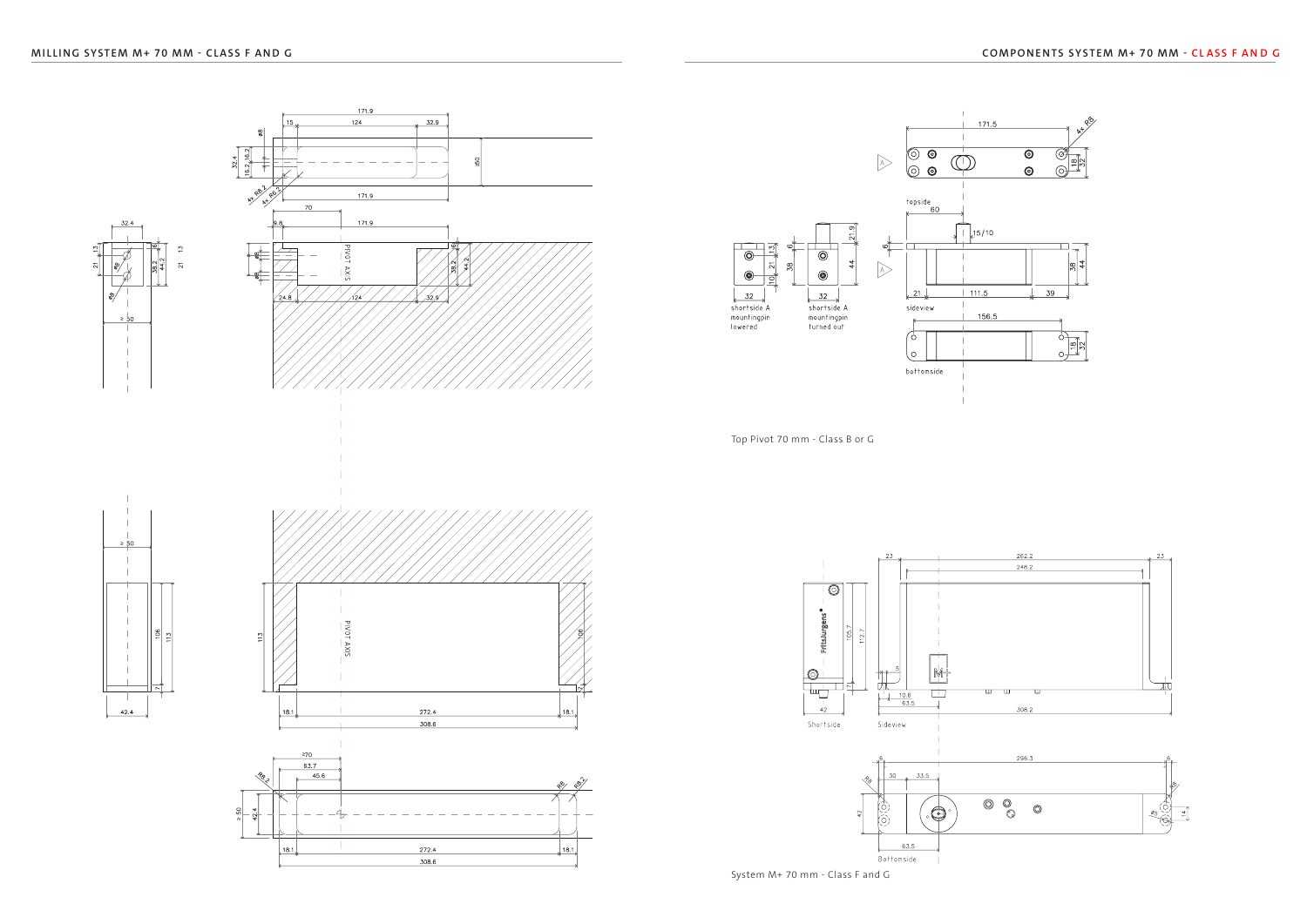

Top Pivot 70 mm - Class B or G